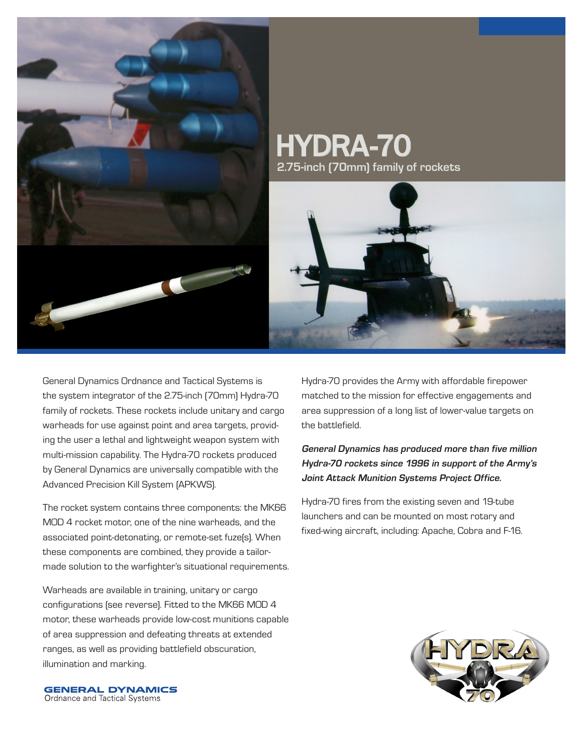

# HYDRA-70 **2.75-inch (70mm) family of rockets**



General Dynamics Ordnance and Tactical Systems is the system integrator of the 2.75-inch (70mm) Hydra-70 family of rockets. These rockets include unitary and cargo warheads for use against point and area targets, providing the user a lethal and lightweight weapon system with multi-mission capability. The Hydra-70 rockets produced by General Dynamics are universally compatible with the Advanced Precision Kill System (APKWS).

The rocket system contains three components: the MK66 MOD 4 rocket motor, one of the nine warheads, and the associated point-detonating, or remote-set fuze(s). When these components are combined, they provide a tailormade solution to the warfighter's situational requirements.

Warheads are available in training, unitary or cargo configurations (see reverse). Fitted to the MK66 MOD 4 motor, these warheads provide low-cost munitions capable of area suppression and defeating threats at extended ranges, as well as providing battlefield obscuration, illumination and marking.

Hydra-70 provides the Army with affordable firepower matched to the mission for effective engagements and area suppression of a long list of lower-value targets on the battlefield.

## **General Dynamics has produced more than five million Hydra-70 rockets since 1996 in support of the Army's Joint Attack Munition Systems Project Office.**

Hydra-70 fires from the existing seven and 19-tube launchers and can be mounted on most rotary and fixed-wing aircraft, including: Apache, Cobra and F-16.



**GENERAL DYNAMICS** Ordnance and Tactical Systems